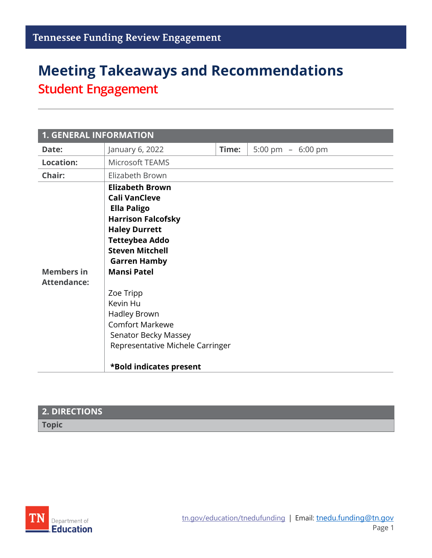# **Meeting Takeaways and Recommendations Student Engagement**

| <b>1. GENERAL INFORMATION</b>           |                                                                                                                                                                                                                                                                                                                                                                                     |       |                    |
|-----------------------------------------|-------------------------------------------------------------------------------------------------------------------------------------------------------------------------------------------------------------------------------------------------------------------------------------------------------------------------------------------------------------------------------------|-------|--------------------|
| Date:                                   | January 6, 2022                                                                                                                                                                                                                                                                                                                                                                     | Time: | 5:00 pm $-6:00$ pm |
| <b>Location:</b>                        | Microsoft TEAMS                                                                                                                                                                                                                                                                                                                                                                     |       |                    |
| Chair:                                  | Elizabeth Brown                                                                                                                                                                                                                                                                                                                                                                     |       |                    |
| <b>Members in</b><br><b>Attendance:</b> | <b>Elizabeth Brown</b><br><b>Cali VanCleve</b><br><b>Ella Paligo</b><br><b>Harrison Falcofsky</b><br><b>Haley Durrett</b><br><b>Tetteybea Addo</b><br><b>Steven Mitchell</b><br><b>Garren Hamby</b><br><b>Mansi Patel</b><br>Zoe Tripp<br>Kevin Hu<br>Hadley Brown<br><b>Comfort Markewe</b><br>Senator Becky Massey<br>Representative Michele Carringer<br>*Bold indicates present |       |                    |

#### **2. DIRECTIONS**

**Topic**

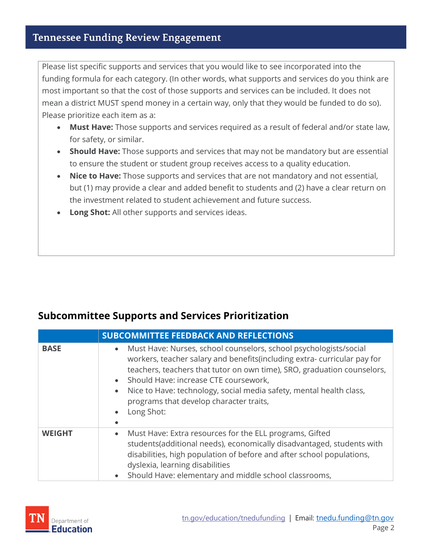#### **Tennessee Funding Review Engagement**

Please list specific supports and services that you would like to see incorporated into the funding formula for each category. (In other words, what supports and services do you think are most important so that the cost of those supports and services can be included. It does not mean a district MUST spend money in a certain way, only that they would be funded to do so). Please prioritize each item as a:

- **Must Have:** Those supports and services required as a result of federal and/or state law, for safety, or similar.
- **Should Have:** Those supports and services that may not be mandatory but are essential to ensure the student or student group receives access to a quality education.
- **Nice to Have:** Those supports and services that are not mandatory and not essential, but (1) may provide a clear and added benefit to students and (2) have a clear return on the investment related to student achievement and future success.
- **Long Shot:** All other supports and services ideas.

#### **Subcommittee Supports and Services Prioritization**

|               | <b>SUBCOMMITTEE FEEDBACK AND REFLECTIONS</b>                                                                                                                                                                                                                                                                                                                                                                                                                       |  |
|---------------|--------------------------------------------------------------------------------------------------------------------------------------------------------------------------------------------------------------------------------------------------------------------------------------------------------------------------------------------------------------------------------------------------------------------------------------------------------------------|--|
| <b>BASE</b>   | Must Have: Nurses, school counselors, school psychologists/social<br>$\bullet$<br>workers, teacher salary and benefits(including extra- curricular pay for<br>teachers, teachers that tutor on own time), SRO, graduation counselors,<br>Should Have: increase CTE coursework,<br>$\bullet$<br>Nice to Have: technology, social media safety, mental health class,<br>$\bullet$<br>programs that develop character traits,<br>Long Shot:<br>$\bullet$<br>$\bullet$ |  |
| <b>WEIGHT</b> | Must Have: Extra resources for the ELL programs, Gifted<br>$\bullet$<br>students(additional needs), economically disadvantaged, students with<br>disabilities, high population of before and after school populations,<br>dyslexia, learning disabilities<br>Should Have: elementary and middle school classrooms,<br>$\bullet$                                                                                                                                    |  |